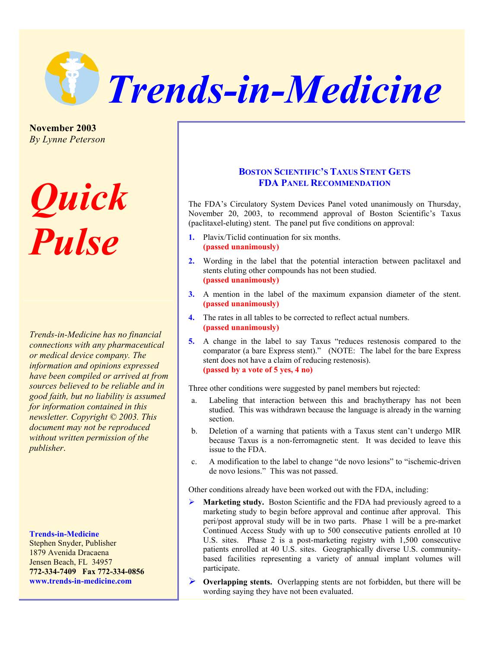

**November 2003**  *By Lynne Peterson*

# *Quick Pulse*

*Trends-in-Medicine has no financial connections with any pharmaceutical or medical device company. The information and opinions expressed have been compiled or arrived at from sources believed to be reliable and in good faith, but no liability is assumed for information contained in this newsletter. Copyright © 2003. This document may not be reproduced without written permission of the publisher*.

## **Trends-in-Medicine**

Stephen Snyder, Publisher 1879 Avenida Dracaena Jensen Beach, FL 34957 **772-334-7409 Fax 772-334-0856 www.trends-in-medicine.com** 

# **BOSTON SCIENTIFIC'S TAXUS STENT GETS FDA PANEL RECOMMENDATION**

The FDA's Circulatory System Devices Panel voted unanimously on Thursday, November 20, 2003, to recommend approval of Boston Scientific's Taxus (paclitaxel-eluting) stent. The panel put five conditions on approval:

- **1.** Plavix/Ticlid continuation for six months. **(passed unanimously)**
- **2.** Wording in the label that the potential interaction between paclitaxel and stents eluting other compounds has not been studied. **(passed unanimously)**
- **3.** A mention in the label of the maximum expansion diameter of the stent. **(passed unanimously)**
- **4.** The rates in all tables to be corrected to reflect actual numbers. **(passed unanimously)**
- **5.** A change in the label to say Taxus "reduces restenosis compared to the comparator (a bare Express stent)." (NOTE: The label for the bare Express stent does not have a claim of reducing restenosis). **(passed by a vote of 5 yes, 4 no)**

Three other conditions were suggested by panel members but rejected:

- a. Labeling that interaction between this and brachytherapy has not been studied. This was withdrawn because the language is already in the warning section.
- b. Deletion of a warning that patients with a Taxus stent can't undergo MIR because Taxus is a non-ferromagnetic stent. It was decided to leave this issue to the FDA.
- c. A modification to the label to change "de novo lesions" to "ischemic-driven de novo lesions." This was not passed.

Other conditions already have been worked out with the FDA, including:

- ¾ **Marketing study.** Boston Scientific and the FDA had previously agreed to a marketing study to begin before approval and continue after approval. This peri/post approval study will be in two parts. Phase 1 will be a pre-market Continued Access Study with up to 500 consecutive patients enrolled at 10 U.S. sites. Phase 2 is a post-marketing registry with 1,500 consecutive patients enrolled at 40 U.S. sites. Geographically diverse U.S. communitybased facilities representing a variety of annual implant volumes will participate.
- ¾ **Overlapping stents.** Overlapping stents are not forbidden, but there will be wording saying they have not been evaluated.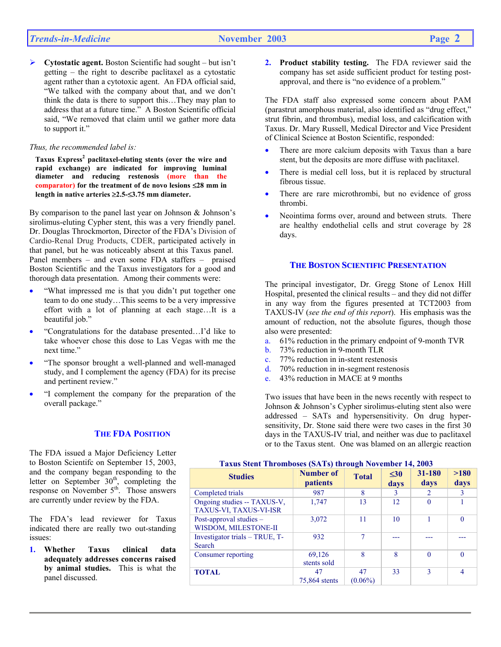¾ **Cytostatic agent.** Boston Scientific had sought – but isn't getting – the right to describe paclitaxel as a cytostatic agent rather than a cytotoxic agent. An FDA official said, "We talked with the company about that, and we don't think the data is there to support this…They may plan to address that at a future time." A Boston Scientific official said, "We removed that claim until we gather more data to support it."

#### *Thus, the recommended label is:*

**Taxus Express<sup>2</sup> paclitaxel-eluting stents (over the wire and rapid exchange) are indicated for improving luminal diameter and reducing restenosis (more than the comparator) for the treatment of de novo lesions** ≤**28 mm in length in native arteries** ≥**2.5-**≤**3.75 mm diameter.** 

By comparison to the panel last year on Johnson & Johnson's sirolimus-eluting Cypher stent, this was a very friendly panel. Dr. Douglas Throckmorton, Director of the FDA's Division of Cardio-Renal Drug Products, CDER, participated actively in that panel, but he was noticeably absent at this Taxus panel. Panel members – and even some FDA staffers – praised Boston Scientific and the Taxus investigators for a good and thorough data presentation. Among their comments were:

- "What impressed me is that you didn't put together one team to do one study…This seems to be a very impressive effort with a lot of planning at each stage…It is a beautiful job."
- "Congratulations for the database presented…I'd like to take whoever chose this dose to Las Vegas with me the next time."
- "The sponsor brought a well-planned and well-managed study, and I complement the agency (FDA) for its precise and pertinent review."
- "I complement the company for the preparation of the overall package."

## **THE FDA POSITION**

The FDA issued a Major Deficiency Letter to Boston Scientifc on September 15, 2003, and the company began responding to the letter on September  $30<sup>th</sup>$ , completing the response on November  $5<sup>th</sup>$ . Those answers are currently under review by the FDA.

The FDA's lead reviewer for Taxus indicated there are really two out-standing issues:

**1. Whether Taxus clinical data adequately addresses concerns raised by animal studies.** This is what the panel discussed.

**2. Product stability testing.** The FDA reviewer said the company has set aside sufficient product for testing postapproval, and there is "no evidence of a problem."

The FDA staff also expressed some concern about PAM (parastrut amorphous material, also identified as "drug effect," strut fibrin, and thrombus), medial loss, and calcification with Taxus. Dr. Mary Russell, Medical Director and Vice President of Clinical Science at Boston Scientific, responded:

- There are more calcium deposits with Taxus than a bare stent, but the deposits are more diffuse with paclitaxel.
- There is medial cell loss, but it is replaced by structural fibrous tissue.
- There are rare microthrombi, but no evidence of gross thrombi.
- Neointima forms over, around and between struts. There are healthy endothelial cells and strut coverage by 28 days.

#### **THE BOSTON SCIENTIFIC PRESENTATION**

The principal investigator, Dr. Gregg Stone of Lenox Hill Hospital, presented the clinical results – and they did not differ in any way from the figures presented at TCT2003 from TAXUS-IV (*see the end of this report*). His emphasis was the amount of reduction, not the absolute figures, though those also were presented:

- a. 61% reduction in the primary endpoint of 9-month TVR
- b. 73% reduction in 9-month TLR
- c. 77% reduction in in-stent restenosis
- d. 70% reduction in in-segment restenosis
- e. 43% reduction in MACE at 9 months

Two issues that have been in the news recently with respect to Johnson & Johnson's Cypher sirolimus-eluting stent also were addressed – SATs and hypersensitivity. On drug hypersensitivity, Dr. Stone said there were two cases in the first 30 days in the TAXUS-IV trial, and neither was due to paclitaxel or to the Taxus stent. One was blamed on an allergic reaction

#### **Taxus Stent Thromboses (SATs) through November 14, 2003**

| <b>Studies</b>                                        | Number of<br><i>patients</i> | <b>Total</b>     | $\leq 30$<br>days | 31-180<br>days | >180<br>days |
|-------------------------------------------------------|------------------------------|------------------|-------------------|----------------|--------------|
| Completed trials                                      | 987                          | 8                | 3                 | $\overline{2}$ |              |
| Ongoing studies -- TAXUS-V,<br>TAXUS-VI, TAXUS-VI-ISR | 1,747                        | 13               | 12                | $\Omega$       |              |
| Post-approval studies -<br>WISDOM, MILESTONE-II       | 3,072                        | 11               | 10                |                | $\Omega$     |
| Investigator trials - TRUE, T-<br>Search              | 932                          | 7                |                   |                |              |
| Consumer reporting                                    | 69,126<br>stents sold        | 8                | 8                 | $\theta$       |              |
| <b>TOTAL</b>                                          | 47<br>75,864 stents          | 47<br>$(0.06\%)$ | 33                | 3              |              |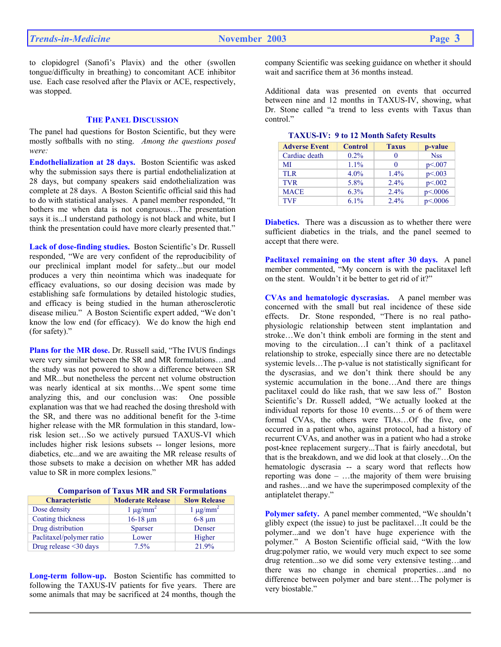to clopidogrel (Sanofi's Plavix) and the other (swollen tongue/difficulty in breathing) to concomitant ACE inhibitor use. Each case resolved after the Plavix or ACE, respectively, was stopped.

#### **THE PANEL DISCUSSION**

The panel had questions for Boston Scientific, but they were mostly softballs with no sting. *Among the questions posed were:* 

**Endothelialization at 28 days.** Boston Scientific was asked why the submission says there is partial endothelialization at 28 days, but company speakers said endothelialization was complete at 28 days. A Boston Scientific official said this had to do with statistical analyses. A panel member responded, "It bothers me when data is not congruous…The presentation says it is...I understand pathology is not black and white, but I think the presentation could have more clearly presented that."

**Lack of dose-finding studies.** Boston Scientific's Dr. Russell responded, "We are very confident of the reproducibility of our preclinical implant model for safety...but our model produces a very thin neointima which was inadequate for efficacy evaluations, so our dosing decision was made by establishing safe formulations by detailed histologic studies, and efficacy is being studied in the human atherosclerotic disease milieu." A Boston Scientific expert added, "We don't know the low end (for efficacy). We do know the high end (for safety)."

**Plans for the MR dose.** Dr. Russell said, "The IVUS findings were very similar between the SR and MR formulations…and the study was not powered to show a difference between SR and MR...but nonetheless the percent net volume obstruction was nearly identical at six months…We spent some time analyzing this, and our conclusion was: One possible explanation was that we had reached the dosing threshold with the SR, and there was no additional benefit for the 3-time higher release with the MR formulation in this standard, lowrisk lesion set…So we actively pursued TAXUS-VI which includes higher risk lesions subsets -- longer lesions, more diabetics, etc...and we are awaiting the MR release results of those subsets to make a decision on whether MR has added value to SR in more complex lesions."

## **Comparison of Taxus MR and SR Formulations**

| <b>Characteristic</b>    | <b>Moderate Release</b> | <b>Slow Release</b> |
|--------------------------|-------------------------|---------------------|
| Dose density             | $1 \mu g/mm^2$          | $1 \mu g/mm^2$      |
| Coating thickness        | $16-18 \mu m$           | $6-8 \mu m$         |
| Drug distribution        | <b>Sparser</b>          | Denser              |
| Paclitaxel/polymer ratio | Lower                   | Higher              |
| Drug release <30 days    | 7.5%                    | 21.9%               |

**Long-term follow-up.** Boston Scientific has committed to following the TAXUS-IV patients for five years. There are some animals that may be sacrificed at 24 months, though the company Scientific was seeking guidance on whether it should wait and sacrifice them at 36 months instead.

Additional data was presented on events that occurred between nine and 12 months in TAXUS-IV, showing, what Dr. Stone called "a trend to less events with Taxus than control<sup>"</sup>

| <b>Adverse Event</b> | <b>Control</b> | <b>Taxus</b> | p-value    |
|----------------------|----------------|--------------|------------|
| Cardiac death        | $0.2\%$        |              | <b>Nss</b> |
| MI                   | $1.1\%$        |              | p<.007     |
| <b>TLR</b>           | $4.0\%$        | $1.4\%$      | p<0.003    |
| <b>TVR</b>           | 5.8%           | $2.4\%$      | p<0.002    |
| <b>MACE</b>          | 6.3%           | $2.4\%$      | p<0.006    |
| <b>TVF</b>           | $6.1\%$        | 2.4%         | p<0.006    |

|  |  | <b>TAXUS-IV: 9 to 12 Month Safety Results</b> |
|--|--|-----------------------------------------------|
|--|--|-----------------------------------------------|

**Diabetics.** There was a discussion as to whether there were sufficient diabetics in the trials, and the panel seemed to accept that there were.

**Paclitaxel remaining on the stent after 30 days.** A panel member commented, "My concern is with the paclitaxel left on the stent. Wouldn't it be better to get rid of it?"

**CVAs and hematologic dyscrasias.** A panel member was concerned with the small but real incidence of these side effects. Dr. Stone responded, "There is no real pathophysiologic relationship between stent implantation and stroke…We don't think emboli are forming in the stent and moving to the circulation…I can't think of a paclitaxel relationship to stroke, especially since there are no detectable systemic levels…The p-value is not statistically significant for the dyscrasias, and we don't think there should be any systemic accumulation in the bone…And there are things paclitaxel could do like rash, that we saw less of." Boston Scientific's Dr. Russell added, "We actually looked at the individual reports for those 10 events…5 or 6 of them were formal CVAs, the others were TIAs…Of the five, one occurred in a patient who, against protocol, had a history of recurrent CVAs, and another was in a patient who had a stroke post-knee replacement surgery...That is fairly anecdotal, but that is the breakdown, and we did look at that closely…On the hematologic dyscrasia -- a scary word that reflects how reporting was done – …the majority of them were bruising and rashes…and we have the superimposed complexity of the antiplatelet therapy."

**Polymer safety.** A panel member commented, "We shouldn't glibly expect (the issue) to just be paclitaxel…It could be the polymer...and we don't have huge experience with the polymer." A Boston Scientific official said, "With the low drug:polymer ratio, we would very much expect to see some drug retention...so we did some very extensive testing…and there was no change in chemical properties…and no difference between polymer and bare stent…The polymer is very biostable."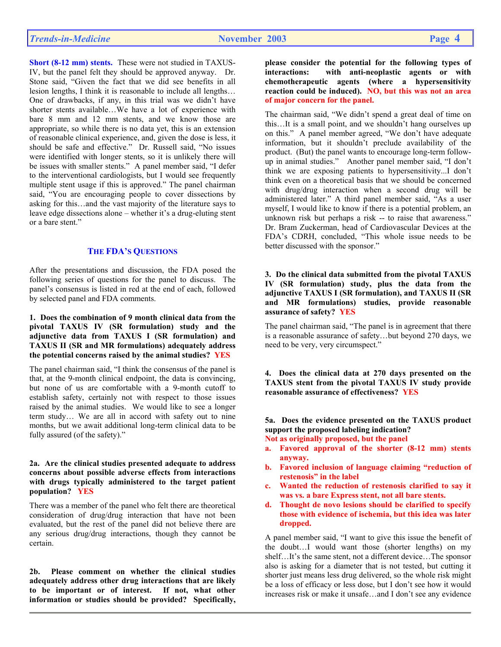**Short (8-12 mm) stents.** These were not studied in TAXUS-IV, but the panel felt they should be approved anyway. Dr. Stone said, "Given the fact that we did see benefits in all lesion lengths, I think it is reasonable to include all lengths… One of drawbacks, if any, in this trial was we didn't have shorter stents available…We have a lot of experience with bare 8 mm and 12 mm stents, and we know those are appropriate, so while there is no data yet, this is an extension of reasonable clinical experience, and, given the dose is less, it should be safe and effective." Dr. Russell said, "No issues were identified with longer stents, so it is unlikely there will be issues with smaller stents." A panel member said, "I defer to the interventional cardiologists, but I would see frequently multiple stent usage if this is approved." The panel chairman said, "You are encouraging people to cover dissections by asking for this…and the vast majority of the literature says to leave edge dissections alone – whether it's a drug-eluting stent or a bare stent."

## **THE FDA'S QUESTIONS**

After the presentations and discussion, the FDA posed the following series of questions for the panel to discuss. The panel's consensus is listed in red at the end of each, followed by selected panel and FDA comments.

#### **1. Does the combination of 9 month clinical data from the pivotal TAXUS IV (SR formulation) study and the adjunctive data from TAXUS I (SR formulation) and TAXUS II (SR and MR formulations) adequately address the potential concerns raised by the animal studies? YES**

The panel chairman said, "I think the consensus of the panel is that, at the 9-month clinical endpoint, the data is convincing, but none of us are comfortable with a 9-month cutoff to establish safety, certainly not with respect to those issues raised by the animal studies. We would like to see a longer term study… We are all in accord with safety out to nine months, but we await additional long-term clinical data to be fully assured (of the safety)."

#### **2a. Are the clinical studies presented adequate to address concerns about possible adverse effects from interactions with drugs typically administered to the target patient population? YES**

There was a member of the panel who felt there are theoretical consideration of drug/drug interaction that have not been evaluated, but the rest of the panel did not believe there are any serious drug/drug interactions, though they cannot be certain.

 **2b. Please comment on whether the clinical studies adequately address other drug interactions that are likely to be important or of interest. If not, what other information or studies should be provided? Specifically,** 

**please consider the potential for the following types of interactions: with anti-neoplastic agents or with chemotherapeutic agents (where a hypersensitivity reaction could be induced). NO, but this was not an area of major concern for the panel.** 

The chairman said, "We didn't spend a great deal of time on this…It is a small point, and we shouldn't hang ourselves up on this." A panel member agreed, "We don't have adequate information, but it shouldn't preclude availability of the product. (But) the panel wants to encourage long-term followup in animal studies." Another panel member said, "I don't think we are exposing patients to hypersensitivity...I don't think even on a theoretical basis that we should be concerned with drug/drug interaction when a second drug will be administered later." A third panel member said, "As a user myself, I would like to know if there is a potential problem, an unknown risk but perhaps a risk -- to raise that awareness." Dr. Bram Zuckerman, head of Cardiovascular Devices at the FDA's CDRH, concluded, "This whole issue needs to be better discussed with the sponsor."

**3. Do the clinical data submitted from the pivotal TAXUS IV (SR formulation) study, plus the data from the adjunctive TAXUS I (SR formulation), and TAXUS II (SR and MR formulations) studies, provide reasonable assurance of safety? YES** 

The panel chairman said, "The panel is in agreement that there is a reasonable assurance of safety…but beyond 270 days, we need to be very, very circumspect."

 **4. Does the clinical data at 270 days presented on the TAXUS stent from the pivotal TAXUS IV study provide reasonable assurance of effectiveness? YES**

 **5a. Does the evidence presented on the TAXUS product support the proposed labeling indication?** 

**Not as originally proposed, but the panel** 

- **a. Favored approval of the shorter (8-12 mm) stents anyway.**
- **b. Favored inclusion of language claiming "reduction of restenosis" in the label**
- **c. Wanted the reduction of restenosis clarified to say it was vs. a bare Express stent, not all bare stents.**
- **d. Thought de novo lesions should be clarified to specify those with evidence of ischemia, but this idea was later dropped.**

A panel member said, "I want to give this issue the benefit of the doubt…I would want those (shorter lengths) on my shelf…It's the same stent, not a different device…The sponsor also is asking for a diameter that is not tested, but cutting it shorter just means less drug delivered, so the whole risk might be a loss of efficacy or less dose, but I don't see how it would increases risk or make it unsafe…and I don't see any evidence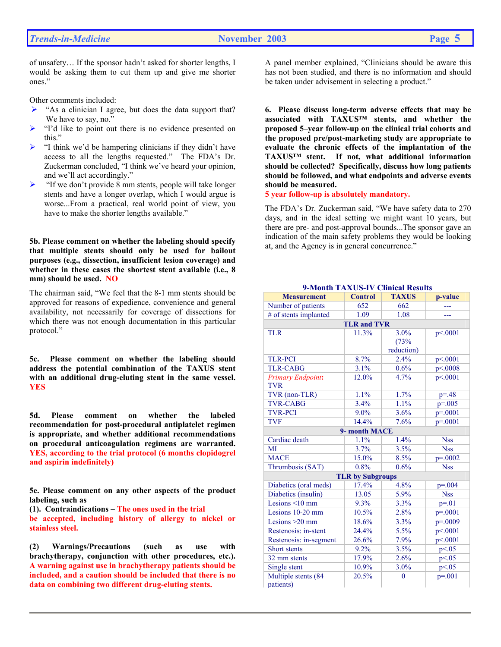of unsafety… If the sponsor hadn't asked for shorter lengths, I would be asking them to cut them up and give me shorter ones."

Other comments included:

- $\triangleright$  "As a clinician I agree, but does the data support that? We have to say, no."
- ¾ "I'd like to point out there is no evidence presented on this."
- ¾ "I think we'd be hampering clinicians if they didn't have access to all the lengths requested." The FDA's Dr. Zuckerman concluded, "I think we've heard your opinion, and we'll act accordingly."
- $\blacktriangleright$  "If we don't provide 8 mm stents, people will take longer stents and have a longer overlap, which I would argue is worse...From a practical, real world point of view, you have to make the shorter lengths available."

**5b. Please comment on whether the labeling should specify that multiple stents should only be used for bailout purposes (e.g., dissection, insufficient lesion coverage) and whether in these cases the shortest stent available (i.e., 8 mm) should be used. NO**

The chairman said, "We feel that the 8-1 mm stents should be approved for reasons of expedience, convenience and general availability, not necessarily for coverage of dissections for which there was not enough documentation in this particular protocol."

 **5c. Please comment on whether the labeling should address the potential combination of the TAXUS stent with an additional drug-eluting stent in the same vessel. YES**

 **5d. Please comment on whether the labeled recommendation for post-procedural antiplatelet regimen is appropriate, and whether additional recommendations on procedural anticoagulation regimens are warranted. YES, according to the trial protocol (6 months clopidogrel and aspirin indefinitely)**

**5e. Please comment on any other aspects of the product labeling, such as** 

**(1). Contraindications – The ones used in the trial be accepted, including history of allergy to nickel or stainless steel.** 

**(2) Warnings/Precautions (such as use with brachytherapy, conjunction with other procedures, etc.). A warning against use in brachytherapy patients should be included, and a caution should be included that there is no data on combining two different drug-eluting stents.** 

A panel member explained, "Clinicians should be aware this has not been studied, and there is no information and should be taken under advisement in selecting a product."

**6. Please discuss long-term adverse effects that may be associated with TAXUS™ stents, and whether the proposed 5–year follow-up on the clinical trial cohorts and the proposed pre/post-marketing study are appropriate to evaluate the chronic effects of the implantation of the TAXUS™ stent. If not, what additional information should be collected? Specifically, discuss how long patients should be followed, and what endpoints and adverse events should be measured.** 

**5 year follow-up is absolutely mandatory.**

The FDA's Dr. Zuckerman said, "We have safety data to 270 days, and in the ideal setting we might want 10 years, but there are pre- and post-approval bounds...The sponsor gave an indication of the main safety problems they would be looking at, and the Agency is in general concurrence."

| <b>Measurement</b>       | <b>Control</b>          | <b>TAXUS</b> | p-value      |
|--------------------------|-------------------------|--------------|--------------|
| Number of patients       | 652                     | 662          |              |
| # of stents implanted    | 1.09                    | 1.08         |              |
|                          | <b>TLR and TVR</b>      |              |              |
| <b>TLR</b>               | 11.3%                   | 3.0%         | p<.0001      |
|                          |                         | (73%         |              |
|                          |                         | reduction)   |              |
| <b>TLR-PCI</b>           | 8.7%                    | 2.4%         | p<.0001      |
| <b>TLR-CABG</b>          | 3.1%                    | 0.6%         | p<.0008      |
| <b>Primary Endpoint:</b> | 12.0%                   | 4.7%         | p<.0001      |
| <b>TVR</b>               |                         |              |              |
| TVR (non-TLR)            | 1.1%                    | 1.7%         | $p = 48$     |
| <b>TVR-CABG</b>          | 3.4%                    | 1.1%         | $p = 0.005$  |
| <b>TVR-PCI</b>           | $9.0\%$                 | 3.6%         | $p = 0001$   |
| <b>TVF</b>               | 14.4%                   | 7.6%         | $p=.0001$    |
|                          | 9- month MACE           |              |              |
| Cardiac death            | 1.1%                    | 1.4%         | <b>Nss</b>   |
| MI                       | 3.7%                    | 3.5%         | <b>Nss</b>   |
| <b>MACE</b>              | 15.0%                   | 8.5%         | $p = 0.0002$ |
| Thrombosis (SAT)         | 0.8%                    | 0.6%         | <b>Nss</b>   |
|                          | <b>TLR by Subgroups</b> |              |              |
| Diabetics (oral meds)    | 17.4%                   | 4.8%         | $p = 0.004$  |
| Diabetics (insulin)      | 13.05                   | 5.9%         | <b>Nss</b>   |
| Lesions $\leq 10$ mm     | 9.3%                    | 3.3%         | $p = 01$     |
| Lesions $10-20$ mm       | 10.5%                   | 2.8%         | $p = 0.001$  |
| Lesions $>20$ mm         | 18.6%                   | 3.3%         | $p=.0009$    |
| Restenosis: in-stent     | 24.4%                   | 5.5%         | p<.0001      |
| Restenosis: in-segment   | 26.6%                   | 7.9%         | p<.0001      |
| Short stents             | 9.2%                    | 3.5%         | p < 0.05     |
| 32 mm stents             | 17.9%                   | 2.6%         | p<0.05       |
| Single stent             | 10.9%                   | 3.0%         | p < 0.05     |
| Multiple stents (84      | 20.5%                   | $\theta$     | $p = 0.001$  |
| patients)                |                         |              |              |

 **9-Month TAXUS-IV Clinical Results**